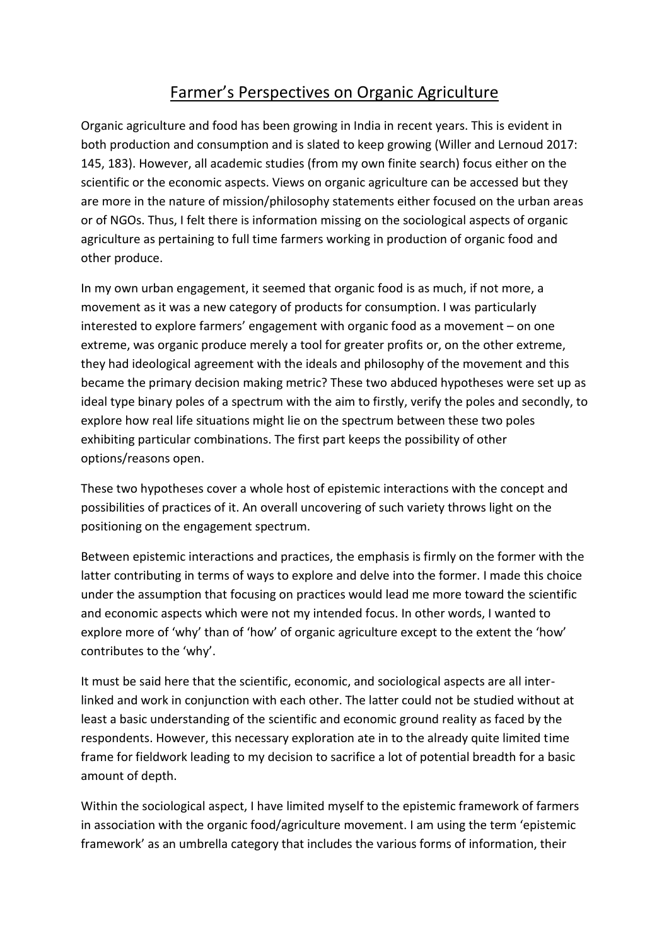# Farmer's Perspectives on Organic Agriculture

Organic agriculture and food has been growing in India in recent years. This is evident in both production and consumption and is slated to keep growing (Willer and Lernoud 2017: 145, 183). However, all academic studies (from my own finite search) focus either on the scientific or the economic aspects. Views on organic agriculture can be accessed but they are more in the nature of mission/philosophy statements either focused on the urban areas or of NGOs. Thus, I felt there is information missing on the sociological aspects of organic agriculture as pertaining to full time farmers working in production of organic food and other produce.

In my own urban engagement, it seemed that organic food is as much, if not more, a movement as it was a new category of products for consumption. I was particularly interested to explore farmers' engagement with organic food as a movement – on one extreme, was organic produce merely a tool for greater profits or, on the other extreme, they had ideological agreement with the ideals and philosophy of the movement and this became the primary decision making metric? These two abduced hypotheses were set up as ideal type binary poles of a spectrum with the aim to firstly, verify the poles and secondly, to explore how real life situations might lie on the spectrum between these two poles exhibiting particular combinations. The first part keeps the possibility of other options/reasons open.

These two hypotheses cover a whole host of epistemic interactions with the concept and possibilities of practices of it. An overall uncovering of such variety throws light on the positioning on the engagement spectrum.

Between epistemic interactions and practices, the emphasis is firmly on the former with the latter contributing in terms of ways to explore and delve into the former. I made this choice under the assumption that focusing on practices would lead me more toward the scientific and economic aspects which were not my intended focus. In other words, I wanted to explore more of 'why' than of 'how' of organic agriculture except to the extent the 'how' contributes to the 'why'.

It must be said here that the scientific, economic, and sociological aspects are all interlinked and work in conjunction with each other. The latter could not be studied without at least a basic understanding of the scientific and economic ground reality as faced by the respondents. However, this necessary exploration ate in to the already quite limited time frame for fieldwork leading to my decision to sacrifice a lot of potential breadth for a basic amount of depth.

Within the sociological aspect, I have limited myself to the epistemic framework of farmers in association with the organic food/agriculture movement. I am using the term 'epistemic framework' as an umbrella category that includes the various forms of information, their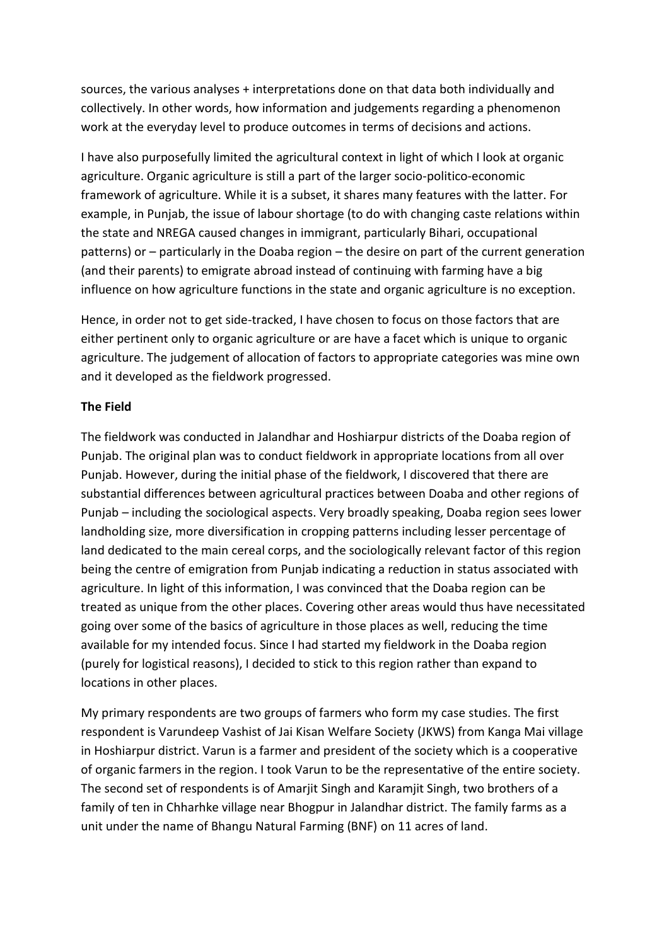sources, the various analyses + interpretations done on that data both individually and collectively. In other words, how information and judgements regarding a phenomenon work at the everyday level to produce outcomes in terms of decisions and actions.

I have also purposefully limited the agricultural context in light of which I look at organic agriculture. Organic agriculture is still a part of the larger socio-politico-economic framework of agriculture. While it is a subset, it shares many features with the latter. For example, in Punjab, the issue of labour shortage (to do with changing caste relations within the state and NREGA caused changes in immigrant, particularly Bihari, occupational patterns) or – particularly in the Doaba region – the desire on part of the current generation (and their parents) to emigrate abroad instead of continuing with farming have a big influence on how agriculture functions in the state and organic agriculture is no exception.

Hence, in order not to get side-tracked, I have chosen to focus on those factors that are either pertinent only to organic agriculture or are have a facet which is unique to organic agriculture. The judgement of allocation of factors to appropriate categories was mine own and it developed as the fieldwork progressed.

### **The Field**

The fieldwork was conducted in Jalandhar and Hoshiarpur districts of the Doaba region of Punjab. The original plan was to conduct fieldwork in appropriate locations from all over Punjab. However, during the initial phase of the fieldwork, I discovered that there are substantial differences between agricultural practices between Doaba and other regions of Punjab – including the sociological aspects. Very broadly speaking, Doaba region sees lower landholding size, more diversification in cropping patterns including lesser percentage of land dedicated to the main cereal corps, and the sociologically relevant factor of this region being the centre of emigration from Punjab indicating a reduction in status associated with agriculture. In light of this information, I was convinced that the Doaba region can be treated as unique from the other places. Covering other areas would thus have necessitated going over some of the basics of agriculture in those places as well, reducing the time available for my intended focus. Since I had started my fieldwork in the Doaba region (purely for logistical reasons), I decided to stick to this region rather than expand to locations in other places.

My primary respondents are two groups of farmers who form my case studies. The first respondent is Varundeep Vashist of Jai Kisan Welfare Society (JKWS) from Kanga Mai village in Hoshiarpur district. Varun is a farmer and president of the society which is a cooperative of organic farmers in the region. I took Varun to be the representative of the entire society. The second set of respondents is of Amarjit Singh and Karamjit Singh, two brothers of a family of ten in Chharhke village near Bhogpur in Jalandhar district. The family farms as a unit under the name of Bhangu Natural Farming (BNF) on 11 acres of land.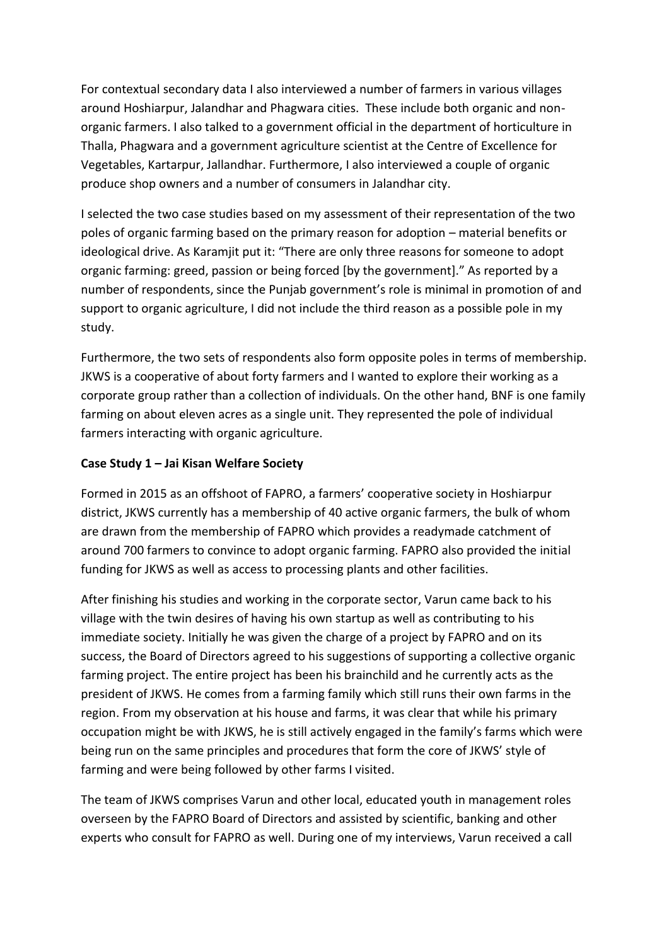For contextual secondary data I also interviewed a number of farmers in various villages around Hoshiarpur, Jalandhar and Phagwara cities. These include both organic and nonorganic farmers. I also talked to a government official in the department of horticulture in Thalla, Phagwara and a government agriculture scientist at the Centre of Excellence for Vegetables, Kartarpur, Jallandhar. Furthermore, I also interviewed a couple of organic produce shop owners and a number of consumers in Jalandhar city.

I selected the two case studies based on my assessment of their representation of the two poles of organic farming based on the primary reason for adoption – material benefits or ideological drive. As Karamjit put it: "There are only three reasons for someone to adopt organic farming: greed, passion or being forced [by the government]." As reported by a number of respondents, since the Punjab government's role is minimal in promotion of and support to organic agriculture, I did not include the third reason as a possible pole in my study.

Furthermore, the two sets of respondents also form opposite poles in terms of membership. JKWS is a cooperative of about forty farmers and I wanted to explore their working as a corporate group rather than a collection of individuals. On the other hand, BNF is one family farming on about eleven acres as a single unit. They represented the pole of individual farmers interacting with organic agriculture.

## **Case Study 1 – Jai Kisan Welfare Society**

Formed in 2015 as an offshoot of FAPRO, a farmers' cooperative society in Hoshiarpur district, JKWS currently has a membership of 40 active organic farmers, the bulk of whom are drawn from the membership of FAPRO which provides a readymade catchment of around 700 farmers to convince to adopt organic farming. FAPRO also provided the initial funding for JKWS as well as access to processing plants and other facilities.

After finishing his studies and working in the corporate sector, Varun came back to his village with the twin desires of having his own startup as well as contributing to his immediate society. Initially he was given the charge of a project by FAPRO and on its success, the Board of Directors agreed to his suggestions of supporting a collective organic farming project. The entire project has been his brainchild and he currently acts as the president of JKWS. He comes from a farming family which still runs their own farms in the region. From my observation at his house and farms, it was clear that while his primary occupation might be with JKWS, he is still actively engaged in the family's farms which were being run on the same principles and procedures that form the core of JKWS' style of farming and were being followed by other farms I visited.

The team of JKWS comprises Varun and other local, educated youth in management roles overseen by the FAPRO Board of Directors and assisted by scientific, banking and other experts who consult for FAPRO as well. During one of my interviews, Varun received a call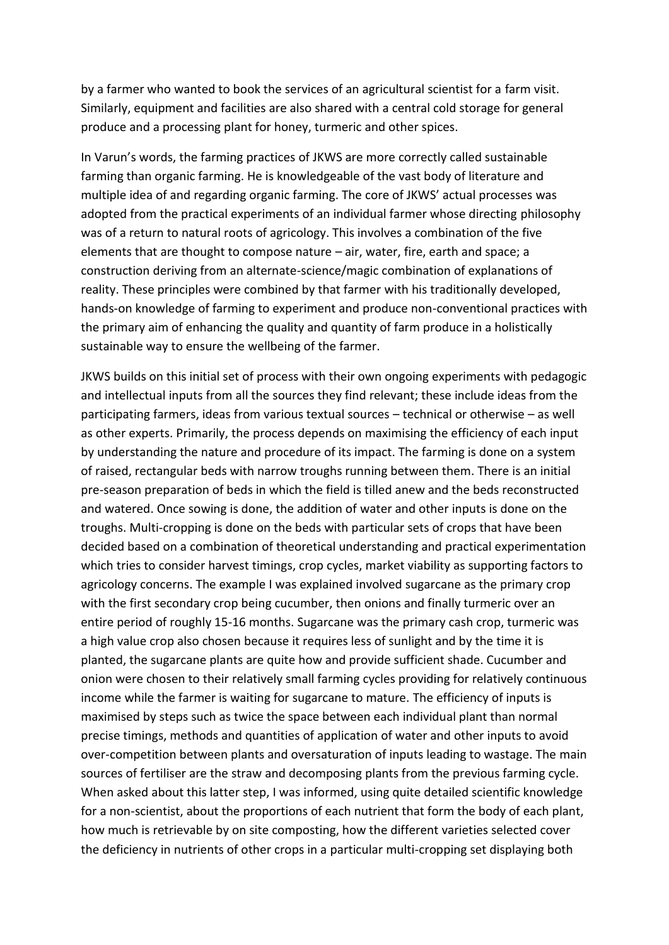by a farmer who wanted to book the services of an agricultural scientist for a farm visit. Similarly, equipment and facilities are also shared with a central cold storage for general produce and a processing plant for honey, turmeric and other spices.

In Varun's words, the farming practices of JKWS are more correctly called sustainable farming than organic farming. He is knowledgeable of the vast body of literature and multiple idea of and regarding organic farming. The core of JKWS' actual processes was adopted from the practical experiments of an individual farmer whose directing philosophy was of a return to natural roots of agricology. This involves a combination of the five elements that are thought to compose nature – air, water, fire, earth and space; a construction deriving from an alternate-science/magic combination of explanations of reality. These principles were combined by that farmer with his traditionally developed, hands-on knowledge of farming to experiment and produce non-conventional practices with the primary aim of enhancing the quality and quantity of farm produce in a holistically sustainable way to ensure the wellbeing of the farmer.

JKWS builds on this initial set of process with their own ongoing experiments with pedagogic and intellectual inputs from all the sources they find relevant; these include ideas from the participating farmers, ideas from various textual sources – technical or otherwise – as well as other experts. Primarily, the process depends on maximising the efficiency of each input by understanding the nature and procedure of its impact. The farming is done on a system of raised, rectangular beds with narrow troughs running between them. There is an initial pre-season preparation of beds in which the field is tilled anew and the beds reconstructed and watered. Once sowing is done, the addition of water and other inputs is done on the troughs. Multi-cropping is done on the beds with particular sets of crops that have been decided based on a combination of theoretical understanding and practical experimentation which tries to consider harvest timings, crop cycles, market viability as supporting factors to agricology concerns. The example I was explained involved sugarcane as the primary crop with the first secondary crop being cucumber, then onions and finally turmeric over an entire period of roughly 15-16 months. Sugarcane was the primary cash crop, turmeric was a high value crop also chosen because it requires less of sunlight and by the time it is planted, the sugarcane plants are quite how and provide sufficient shade. Cucumber and onion were chosen to their relatively small farming cycles providing for relatively continuous income while the farmer is waiting for sugarcane to mature. The efficiency of inputs is maximised by steps such as twice the space between each individual plant than normal precise timings, methods and quantities of application of water and other inputs to avoid over-competition between plants and oversaturation of inputs leading to wastage. The main sources of fertiliser are the straw and decomposing plants from the previous farming cycle. When asked about this latter step, I was informed, using quite detailed scientific knowledge for a non-scientist, about the proportions of each nutrient that form the body of each plant, how much is retrievable by on site composting, how the different varieties selected cover the deficiency in nutrients of other crops in a particular multi-cropping set displaying both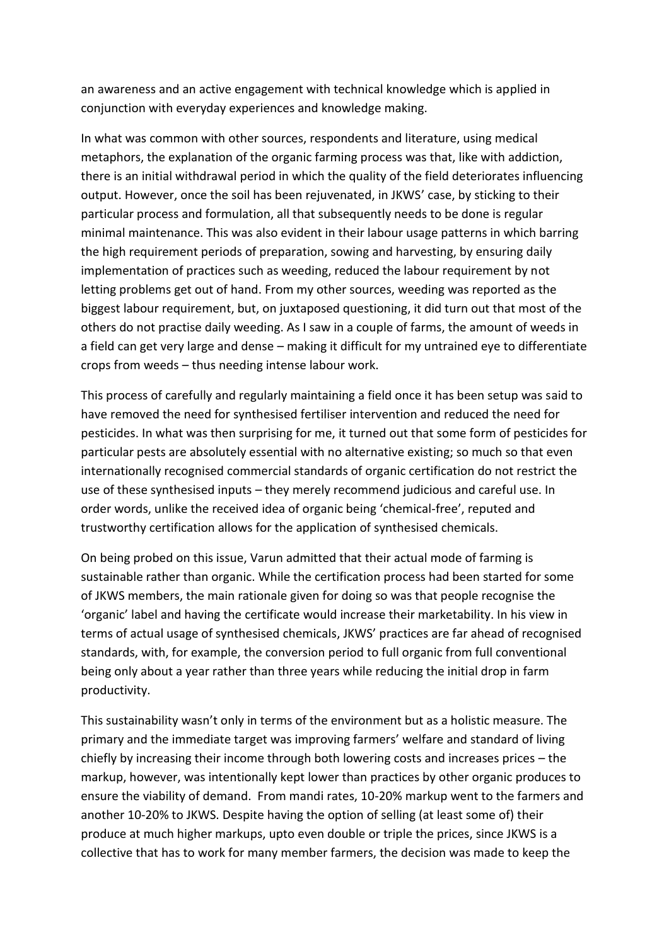an awareness and an active engagement with technical knowledge which is applied in conjunction with everyday experiences and knowledge making.

In what was common with other sources, respondents and literature, using medical metaphors, the explanation of the organic farming process was that, like with addiction, there is an initial withdrawal period in which the quality of the field deteriorates influencing output. However, once the soil has been rejuvenated, in JKWS' case, by sticking to their particular process and formulation, all that subsequently needs to be done is regular minimal maintenance. This was also evident in their labour usage patterns in which barring the high requirement periods of preparation, sowing and harvesting, by ensuring daily implementation of practices such as weeding, reduced the labour requirement by not letting problems get out of hand. From my other sources, weeding was reported as the biggest labour requirement, but, on juxtaposed questioning, it did turn out that most of the others do not practise daily weeding. As I saw in a couple of farms, the amount of weeds in a field can get very large and dense – making it difficult for my untrained eye to differentiate crops from weeds – thus needing intense labour work.

This process of carefully and regularly maintaining a field once it has been setup was said to have removed the need for synthesised fertiliser intervention and reduced the need for pesticides. In what was then surprising for me, it turned out that some form of pesticides for particular pests are absolutely essential with no alternative existing; so much so that even internationally recognised commercial standards of organic certification do not restrict the use of these synthesised inputs – they merely recommend judicious and careful use. In order words, unlike the received idea of organic being 'chemical-free', reputed and trustworthy certification allows for the application of synthesised chemicals.

On being probed on this issue, Varun admitted that their actual mode of farming is sustainable rather than organic. While the certification process had been started for some of JKWS members, the main rationale given for doing so was that people recognise the 'organic' label and having the certificate would increase their marketability. In his view in terms of actual usage of synthesised chemicals, JKWS' practices are far ahead of recognised standards, with, for example, the conversion period to full organic from full conventional being only about a year rather than three years while reducing the initial drop in farm productivity.

This sustainability wasn't only in terms of the environment but as a holistic measure. The primary and the immediate target was improving farmers' welfare and standard of living chiefly by increasing their income through both lowering costs and increases prices – the markup, however, was intentionally kept lower than practices by other organic produces to ensure the viability of demand. From mandi rates, 10-20% markup went to the farmers and another 10-20% to JKWS. Despite having the option of selling (at least some of) their produce at much higher markups, upto even double or triple the prices, since JKWS is a collective that has to work for many member farmers, the decision was made to keep the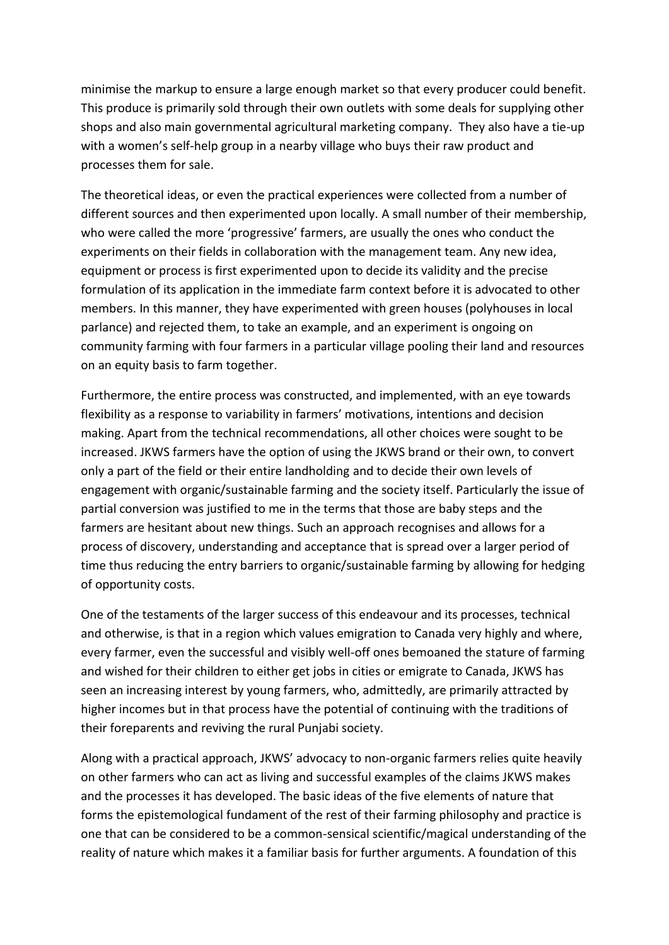minimise the markup to ensure a large enough market so that every producer could benefit. This produce is primarily sold through their own outlets with some deals for supplying other shops and also main governmental agricultural marketing company. They also have a tie-up with a women's self-help group in a nearby village who buys their raw product and processes them for sale.

The theoretical ideas, or even the practical experiences were collected from a number of different sources and then experimented upon locally. A small number of their membership, who were called the more 'progressive' farmers, are usually the ones who conduct the experiments on their fields in collaboration with the management team. Any new idea, equipment or process is first experimented upon to decide its validity and the precise formulation of its application in the immediate farm context before it is advocated to other members. In this manner, they have experimented with green houses (polyhouses in local parlance) and rejected them, to take an example, and an experiment is ongoing on community farming with four farmers in a particular village pooling their land and resources on an equity basis to farm together.

Furthermore, the entire process was constructed, and implemented, with an eye towards flexibility as a response to variability in farmers' motivations, intentions and decision making. Apart from the technical recommendations, all other choices were sought to be increased. JKWS farmers have the option of using the JKWS brand or their own, to convert only a part of the field or their entire landholding and to decide their own levels of engagement with organic/sustainable farming and the society itself. Particularly the issue of partial conversion was justified to me in the terms that those are baby steps and the farmers are hesitant about new things. Such an approach recognises and allows for a process of discovery, understanding and acceptance that is spread over a larger period of time thus reducing the entry barriers to organic/sustainable farming by allowing for hedging of opportunity costs.

One of the testaments of the larger success of this endeavour and its processes, technical and otherwise, is that in a region which values emigration to Canada very highly and where, every farmer, even the successful and visibly well-off ones bemoaned the stature of farming and wished for their children to either get jobs in cities or emigrate to Canada, JKWS has seen an increasing interest by young farmers, who, admittedly, are primarily attracted by higher incomes but in that process have the potential of continuing with the traditions of their foreparents and reviving the rural Punjabi society.

Along with a practical approach, JKWS' advocacy to non-organic farmers relies quite heavily on other farmers who can act as living and successful examples of the claims JKWS makes and the processes it has developed. The basic ideas of the five elements of nature that forms the epistemological fundament of the rest of their farming philosophy and practice is one that can be considered to be a common-sensical scientific/magical understanding of the reality of nature which makes it a familiar basis for further arguments. A foundation of this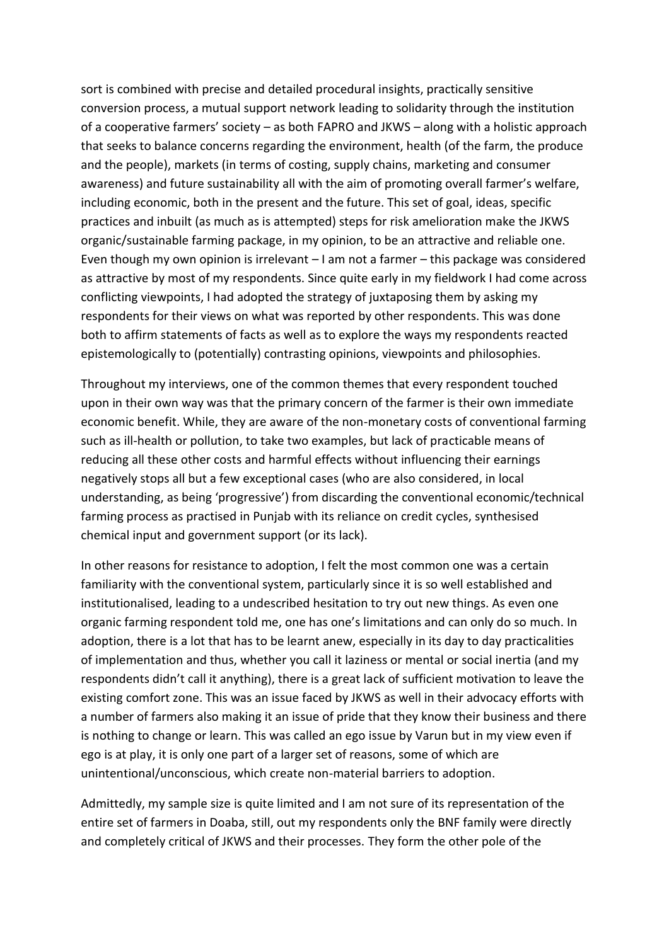sort is combined with precise and detailed procedural insights, practically sensitive conversion process, a mutual support network leading to solidarity through the institution of a cooperative farmers' society – as both FAPRO and JKWS – along with a holistic approach that seeks to balance concerns regarding the environment, health (of the farm, the produce and the people), markets (in terms of costing, supply chains, marketing and consumer awareness) and future sustainability all with the aim of promoting overall farmer's welfare, including economic, both in the present and the future. This set of goal, ideas, specific practices and inbuilt (as much as is attempted) steps for risk amelioration make the JKWS organic/sustainable farming package, in my opinion, to be an attractive and reliable one. Even though my own opinion is irrelevant – I am not a farmer – this package was considered as attractive by most of my respondents. Since quite early in my fieldwork I had come across conflicting viewpoints, I had adopted the strategy of juxtaposing them by asking my respondents for their views on what was reported by other respondents. This was done both to affirm statements of facts as well as to explore the ways my respondents reacted epistemologically to (potentially) contrasting opinions, viewpoints and philosophies.

Throughout my interviews, one of the common themes that every respondent touched upon in their own way was that the primary concern of the farmer is their own immediate economic benefit. While, they are aware of the non-monetary costs of conventional farming such as ill-health or pollution, to take two examples, but lack of practicable means of reducing all these other costs and harmful effects without influencing their earnings negatively stops all but a few exceptional cases (who are also considered, in local understanding, as being 'progressive') from discarding the conventional economic/technical farming process as practised in Punjab with its reliance on credit cycles, synthesised chemical input and government support (or its lack).

In other reasons for resistance to adoption, I felt the most common one was a certain familiarity with the conventional system, particularly since it is so well established and institutionalised, leading to a undescribed hesitation to try out new things. As even one organic farming respondent told me, one has one's limitations and can only do so much. In adoption, there is a lot that has to be learnt anew, especially in its day to day practicalities of implementation and thus, whether you call it laziness or mental or social inertia (and my respondents didn't call it anything), there is a great lack of sufficient motivation to leave the existing comfort zone. This was an issue faced by JKWS as well in their advocacy efforts with a number of farmers also making it an issue of pride that they know their business and there is nothing to change or learn. This was called an ego issue by Varun but in my view even if ego is at play, it is only one part of a larger set of reasons, some of which are unintentional/unconscious, which create non-material barriers to adoption.

Admittedly, my sample size is quite limited and I am not sure of its representation of the entire set of farmers in Doaba, still, out my respondents only the BNF family were directly and completely critical of JKWS and their processes. They form the other pole of the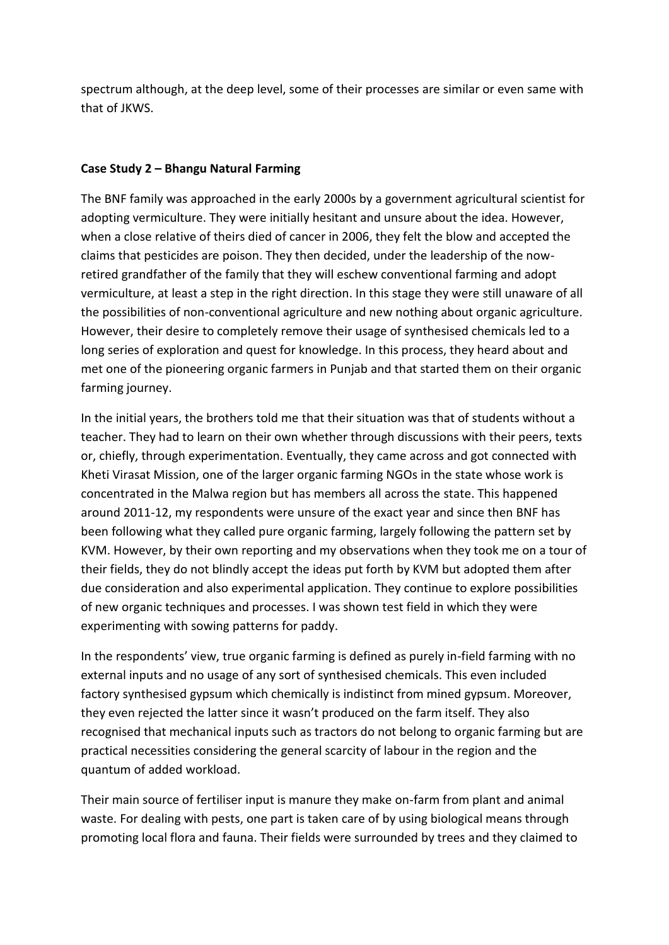spectrum although, at the deep level, some of their processes are similar or even same with that of JKWS.

## **Case Study 2 – Bhangu Natural Farming**

The BNF family was approached in the early 2000s by a government agricultural scientist for adopting vermiculture. They were initially hesitant and unsure about the idea. However, when a close relative of theirs died of cancer in 2006, they felt the blow and accepted the claims that pesticides are poison. They then decided, under the leadership of the nowretired grandfather of the family that they will eschew conventional farming and adopt vermiculture, at least a step in the right direction. In this stage they were still unaware of all the possibilities of non-conventional agriculture and new nothing about organic agriculture. However, their desire to completely remove their usage of synthesised chemicals led to a long series of exploration and quest for knowledge. In this process, they heard about and met one of the pioneering organic farmers in Punjab and that started them on their organic farming journey.

In the initial years, the brothers told me that their situation was that of students without a teacher. They had to learn on their own whether through discussions with their peers, texts or, chiefly, through experimentation. Eventually, they came across and got connected with Kheti Virasat Mission, one of the larger organic farming NGOs in the state whose work is concentrated in the Malwa region but has members all across the state. This happened around 2011-12, my respondents were unsure of the exact year and since then BNF has been following what they called pure organic farming, largely following the pattern set by KVM. However, by their own reporting and my observations when they took me on a tour of their fields, they do not blindly accept the ideas put forth by KVM but adopted them after due consideration and also experimental application. They continue to explore possibilities of new organic techniques and processes. I was shown test field in which they were experimenting with sowing patterns for paddy.

In the respondents' view, true organic farming is defined as purely in-field farming with no external inputs and no usage of any sort of synthesised chemicals. This even included factory synthesised gypsum which chemically is indistinct from mined gypsum. Moreover, they even rejected the latter since it wasn't produced on the farm itself. They also recognised that mechanical inputs such as tractors do not belong to organic farming but are practical necessities considering the general scarcity of labour in the region and the quantum of added workload.

Their main source of fertiliser input is manure they make on-farm from plant and animal waste. For dealing with pests, one part is taken care of by using biological means through promoting local flora and fauna. Their fields were surrounded by trees and they claimed to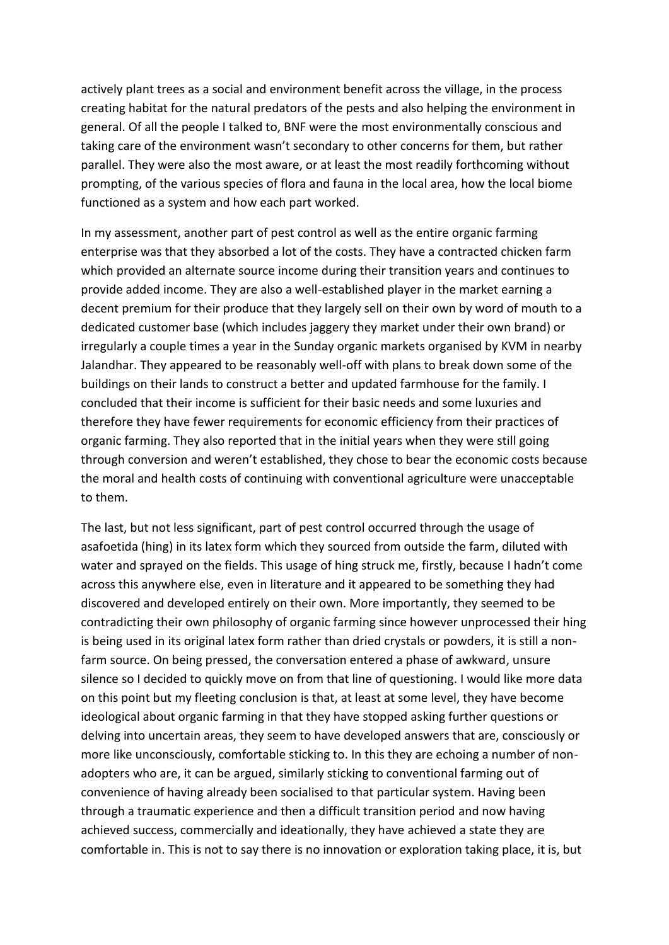actively plant trees as a social and environment benefit across the village, in the process creating habitat for the natural predators of the pests and also helping the environment in general. Of all the people I talked to, BNF were the most environmentally conscious and taking care of the environment wasn't secondary to other concerns for them, but rather parallel. They were also the most aware, or at least the most readily forthcoming without prompting, of the various species of flora and fauna in the local area, how the local biome functioned as a system and how each part worked.

In my assessment, another part of pest control as well as the entire organic farming enterprise was that they absorbed a lot of the costs. They have a contracted chicken farm which provided an alternate source income during their transition years and continues to provide added income. They are also a well-established player in the market earning a decent premium for their produce that they largely sell on their own by word of mouth to a dedicated customer base (which includes jaggery they market under their own brand) or irregularly a couple times a year in the Sunday organic markets organised by KVM in nearby Jalandhar. They appeared to be reasonably well-off with plans to break down some of the buildings on their lands to construct a better and updated farmhouse for the family. I concluded that their income is sufficient for their basic needs and some luxuries and therefore they have fewer requirements for economic efficiency from their practices of organic farming. They also reported that in the initial years when they were still going through conversion and weren't established, they chose to bear the economic costs because the moral and health costs of continuing with conventional agriculture were unacceptable to them.

The last, but not less significant, part of pest control occurred through the usage of asafoetida (hing) in its latex form which they sourced from outside the farm, diluted with water and sprayed on the fields. This usage of hing struck me, firstly, because I hadn't come across this anywhere else, even in literature and it appeared to be something they had discovered and developed entirely on their own. More importantly, they seemed to be contradicting their own philosophy of organic farming since however unprocessed their hing is being used in its original latex form rather than dried crystals or powders, it is still a nonfarm source. On being pressed, the conversation entered a phase of awkward, unsure silence so I decided to quickly move on from that line of questioning. I would like more data on this point but my fleeting conclusion is that, at least at some level, they have become ideological about organic farming in that they have stopped asking further questions or delving into uncertain areas, they seem to have developed answers that are, consciously or more like unconsciously, comfortable sticking to. In this they are echoing a number of nonadopters who are, it can be argued, similarly sticking to conventional farming out of convenience of having already been socialised to that particular system. Having been through a traumatic experience and then a difficult transition period and now having achieved success, commercially and ideationally, they have achieved a state they are comfortable in. This is not to say there is no innovation or exploration taking place, it is, but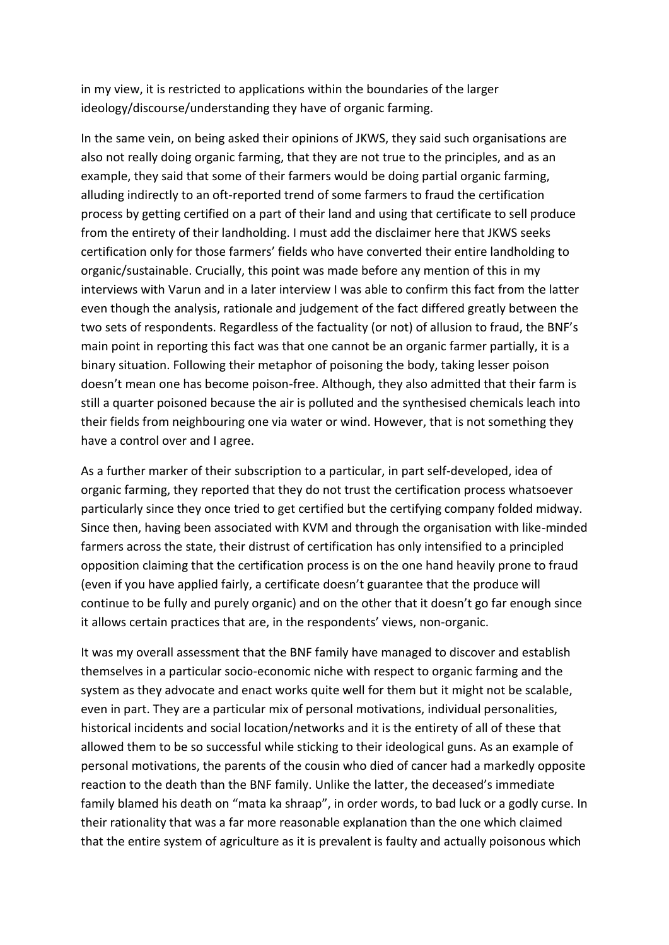in my view, it is restricted to applications within the boundaries of the larger ideology/discourse/understanding they have of organic farming.

In the same vein, on being asked their opinions of JKWS, they said such organisations are also not really doing organic farming, that they are not true to the principles, and as an example, they said that some of their farmers would be doing partial organic farming, alluding indirectly to an oft-reported trend of some farmers to fraud the certification process by getting certified on a part of their land and using that certificate to sell produce from the entirety of their landholding. I must add the disclaimer here that JKWS seeks certification only for those farmers' fields who have converted their entire landholding to organic/sustainable. Crucially, this point was made before any mention of this in my interviews with Varun and in a later interview I was able to confirm this fact from the latter even though the analysis, rationale and judgement of the fact differed greatly between the two sets of respondents. Regardless of the factuality (or not) of allusion to fraud, the BNF's main point in reporting this fact was that one cannot be an organic farmer partially, it is a binary situation. Following their metaphor of poisoning the body, taking lesser poison doesn't mean one has become poison-free. Although, they also admitted that their farm is still a quarter poisoned because the air is polluted and the synthesised chemicals leach into their fields from neighbouring one via water or wind. However, that is not something they have a control over and I agree.

As a further marker of their subscription to a particular, in part self-developed, idea of organic farming, they reported that they do not trust the certification process whatsoever particularly since they once tried to get certified but the certifying company folded midway. Since then, having been associated with KVM and through the organisation with like-minded farmers across the state, their distrust of certification has only intensified to a principled opposition claiming that the certification process is on the one hand heavily prone to fraud (even if you have applied fairly, a certificate doesn't guarantee that the produce will continue to be fully and purely organic) and on the other that it doesn't go far enough since it allows certain practices that are, in the respondents' views, non-organic.

It was my overall assessment that the BNF family have managed to discover and establish themselves in a particular socio-economic niche with respect to organic farming and the system as they advocate and enact works quite well for them but it might not be scalable, even in part. They are a particular mix of personal motivations, individual personalities, historical incidents and social location/networks and it is the entirety of all of these that allowed them to be so successful while sticking to their ideological guns. As an example of personal motivations, the parents of the cousin who died of cancer had a markedly opposite reaction to the death than the BNF family. Unlike the latter, the deceased's immediate family blamed his death on "mata ka shraap", in order words, to bad luck or a godly curse. In their rationality that was a far more reasonable explanation than the one which claimed that the entire system of agriculture as it is prevalent is faulty and actually poisonous which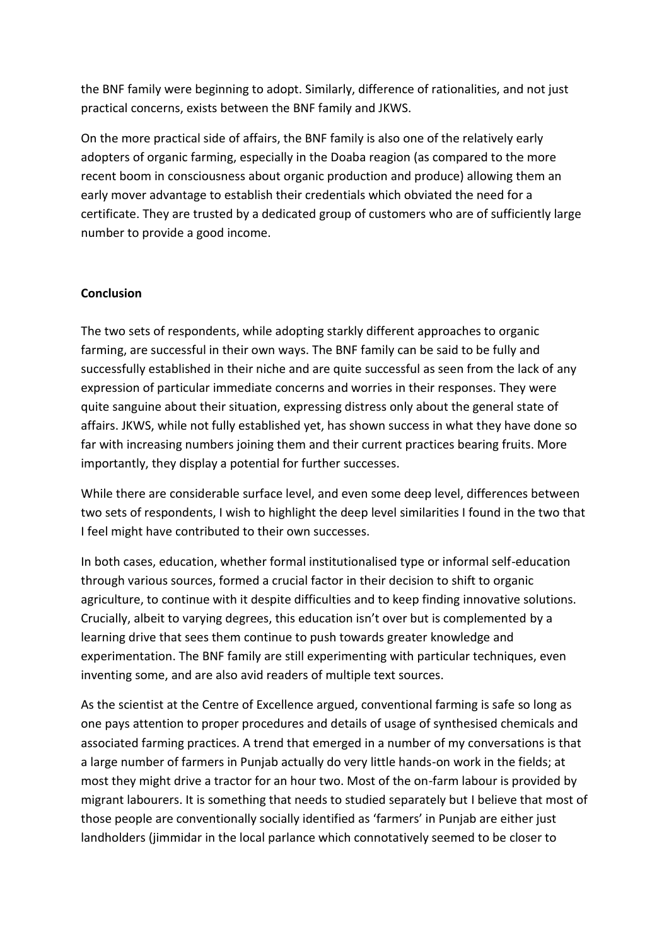the BNF family were beginning to adopt. Similarly, difference of rationalities, and not just practical concerns, exists between the BNF family and JKWS.

On the more practical side of affairs, the BNF family is also one of the relatively early adopters of organic farming, especially in the Doaba reagion (as compared to the more recent boom in consciousness about organic production and produce) allowing them an early mover advantage to establish their credentials which obviated the need for a certificate. They are trusted by a dedicated group of customers who are of sufficiently large number to provide a good income.

### **Conclusion**

The two sets of respondents, while adopting starkly different approaches to organic farming, are successful in their own ways. The BNF family can be said to be fully and successfully established in their niche and are quite successful as seen from the lack of any expression of particular immediate concerns and worries in their responses. They were quite sanguine about their situation, expressing distress only about the general state of affairs. JKWS, while not fully established yet, has shown success in what they have done so far with increasing numbers joining them and their current practices bearing fruits. More importantly, they display a potential for further successes.

While there are considerable surface level, and even some deep level, differences between two sets of respondents, I wish to highlight the deep level similarities I found in the two that I feel might have contributed to their own successes.

In both cases, education, whether formal institutionalised type or informal self-education through various sources, formed a crucial factor in their decision to shift to organic agriculture, to continue with it despite difficulties and to keep finding innovative solutions. Crucially, albeit to varying degrees, this education isn't over but is complemented by a learning drive that sees them continue to push towards greater knowledge and experimentation. The BNF family are still experimenting with particular techniques, even inventing some, and are also avid readers of multiple text sources.

As the scientist at the Centre of Excellence argued, conventional farming is safe so long as one pays attention to proper procedures and details of usage of synthesised chemicals and associated farming practices. A trend that emerged in a number of my conversations is that a large number of farmers in Punjab actually do very little hands-on work in the fields; at most they might drive a tractor for an hour two. Most of the on-farm labour is provided by migrant labourers. It is something that needs to studied separately but I believe that most of those people are conventionally socially identified as 'farmers' in Punjab are either just landholders (jimmidar in the local parlance which connotatively seemed to be closer to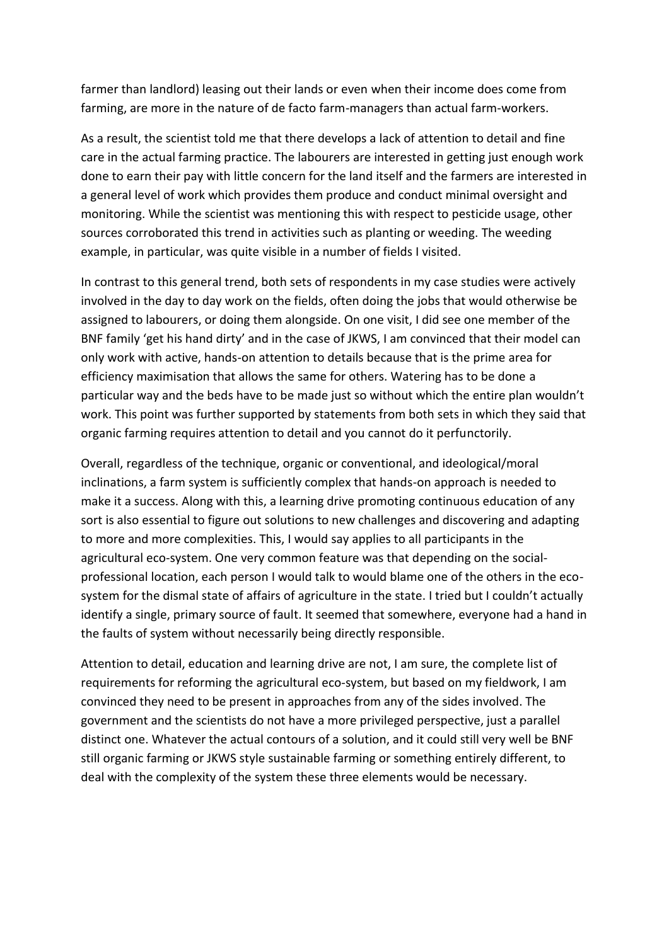farmer than landlord) leasing out their lands or even when their income does come from farming, are more in the nature of de facto farm-managers than actual farm-workers.

As a result, the scientist told me that there develops a lack of attention to detail and fine care in the actual farming practice. The labourers are interested in getting just enough work done to earn their pay with little concern for the land itself and the farmers are interested in a general level of work which provides them produce and conduct minimal oversight and monitoring. While the scientist was mentioning this with respect to pesticide usage, other sources corroborated this trend in activities such as planting or weeding. The weeding example, in particular, was quite visible in a number of fields I visited.

In contrast to this general trend, both sets of respondents in my case studies were actively involved in the day to day work on the fields, often doing the jobs that would otherwise be assigned to labourers, or doing them alongside. On one visit, I did see one member of the BNF family 'get his hand dirty' and in the case of JKWS, I am convinced that their model can only work with active, hands-on attention to details because that is the prime area for efficiency maximisation that allows the same for others. Watering has to be done a particular way and the beds have to be made just so without which the entire plan wouldn't work. This point was further supported by statements from both sets in which they said that organic farming requires attention to detail and you cannot do it perfunctorily.

Overall, regardless of the technique, organic or conventional, and ideological/moral inclinations, a farm system is sufficiently complex that hands-on approach is needed to make it a success. Along with this, a learning drive promoting continuous education of any sort is also essential to figure out solutions to new challenges and discovering and adapting to more and more complexities. This, I would say applies to all participants in the agricultural eco-system. One very common feature was that depending on the socialprofessional location, each person I would talk to would blame one of the others in the ecosystem for the dismal state of affairs of agriculture in the state. I tried but I couldn't actually identify a single, primary source of fault. It seemed that somewhere, everyone had a hand in the faults of system without necessarily being directly responsible.

Attention to detail, education and learning drive are not, I am sure, the complete list of requirements for reforming the agricultural eco-system, but based on my fieldwork, I am convinced they need to be present in approaches from any of the sides involved. The government and the scientists do not have a more privileged perspective, just a parallel distinct one. Whatever the actual contours of a solution, and it could still very well be BNF still organic farming or JKWS style sustainable farming or something entirely different, to deal with the complexity of the system these three elements would be necessary.